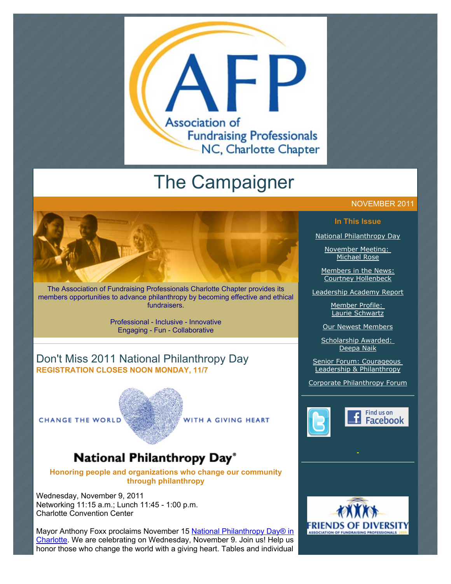

# The Campaigner



The Association of Fundraising Professionals Charlotte Chapter provides its members opportunities to advance philanthropy by becoming effective and ethical fundraisers.

> Professional - Inclusive - Innovative Engaging - Fun - Collaborative

## Don't Miss 2011 National Philanthropy Day **REGISTRATION CLOSES NOON MONDAY, 11/7**

**CHANGE THE WORLD** 

WITH A GIVING HEART

## National Philanthropy Day®

**Honoring people and organizations who change our community through philanthropy**

Wednesday, November 9, 2011 Networking 11:15 a.m.; Lunch 11:45 - 1:00 p.m. Charlotte Convention Center

[Mayor Anthony Foxx proclaims November 15 National Philanthropy Day® in](http://www.afp-charlotte.org/customers/102012921065393/filemanager/City_of_Charlotte_Proclamation_NPD.pdf) Charlotte. We are celebrating on Wednesday, November 9. Join us! Help us honor those who change the world with a giving heart. Tables and individual

#### NOVEMBER 2011

#### **In This Issue**

[National Philanthropy Day](http://archive.constantcontact.com/fs051/1101610725496/archive/1108351568522.html#LETTER.BLOCK7)

[November Meeting:](http://archive.constantcontact.com/fs051/1101610725496/archive/1108351568522.html#LETTER.BLOCK8)  Michael Rose

[Members in the News:](http://archive.constantcontact.com/fs051/1101610725496/archive/1108351568522.html#LETTER.BLOCK9) Courtney Hollenbeck

[Leadership Academy Report](http://archive.constantcontact.com/fs051/1101610725496/archive/1108351568522.html#LETTER.BLOCK10)

[Member Profile:](http://archive.constantcontact.com/fs051/1101610725496/archive/1108351568522.html#LETTER.BLOCK11)  Laurie Schwartz

[Our Newest Members](http://archive.constantcontact.com/fs051/1101610725496/archive/1108351568522.html#LETTER.BLOCK12)

Scholarship Awarded: Deepa Naik

Senior Forum: Courageous Leadership & Philanthropy

[Corporate Philanthropy Forum](http://archive.constantcontact.com/fs051/1101610725496/archive/1108351568522.html#LETTER.BLOCK14)



Find us on **Facebook** 

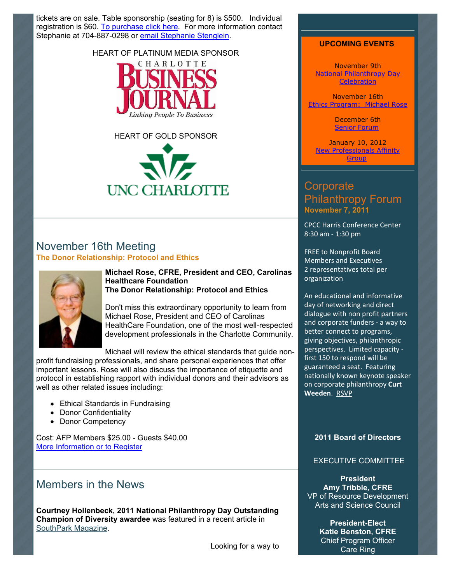tickets are on sale. Table sponsorship (seating for 8) is \$500. Individual registration is \$60. [To purchase click here.](http://afp-charlotte.org/rsvp_details.html?id=3284) For more information contact Stephanie at 704-887-0298 or [email Stephanie Stenglein.](mailto:sstenglein@csarts.org?)

#### HEART OF PLATINUM MEDIA SPONSOR



HEART OF GOLD SPONSOR **UNC CHARLOTTE** 

## November 16th Meeting **The Donor Relationship: Protocol and Ethics**



#### **Michael Rose, CFRE, President and CEO, Carolinas Healthcare Foundation The Donor Relationship: Protocol and Ethics**

Don't miss this extraordinary opportunity to learn from Michael Rose, President and CEO of Carolinas HealthCare Foundation, one of the most well-respected development professionals in the Charlotte Community.

Michael will review the ethical standards that guide non-

profit fundraising professionals, and share personal experiences that offer important lessons. Rose will also discuss the importance of etiquette and protocol in establishing rapport with individual donors and their advisors as well as other related issues including:

- Ethical Standards in Fundraising
- Donor Confidentiality
- Donor Competency

Cost: AFP Members \$25.00 - Guests \$40.00 [More Information or to Register](http://www.afp-charlotte.org/rsvp_details.html?id=3047)

## Members in the News

**Courtney Hollenbeck, 2011 National Philanthropy Day Outstanding Champion of Diversity awardee** was featured in a recent article in [SouthPark Magazine.](http://www.charlotteobserver.com/southparkmagazine/index.html)

Looking for a way to

#### **UPCOMING EVENTS**

November 9th [National Philanthropy Day](http://www.afp-charlotte.org/rsvp_details.html?id=3284) **Celebration** 

November 16th [Ethics Program: Michael Rose](http://www.afp-charlotte.org/rsvp_details.html?id=3047)

> December 6th [Senior Forum](http://www.afp-charlotte.org/rsvp_details.html?id=3334)

January 10, 2012 [New Professionals Affinity](http://www.afp-charlotte.org/rsvp_details.html?id=3379) Group

## **Corporate** Philanthropy Forum **November 7, 2011**

CPCC Harris Conference Center 8:30 am - 1:30 pm

FREE to Nonprofit Board Members and Executives 2 representatives total per organization

An educational and informative day of networking and direct dialogue with non profit partners and corporate funders - a way to better connect to programs, giving objectives, philanthropic perspectives. Limited capacity first 150 to respond will be guaranteed a seat. Featuring nationally known keynote speaker on corporate philanthropy **Curt Weeden. RSVP** 

#### **2011 Board of Directors**

#### EXECUTIVE COMMITTEE

**President Amy Tribble, CFRE** VP of Resource Development Arts and Science Council

> **President-Elect Katie Benston, CFRE** Chief Program Officer Care Ring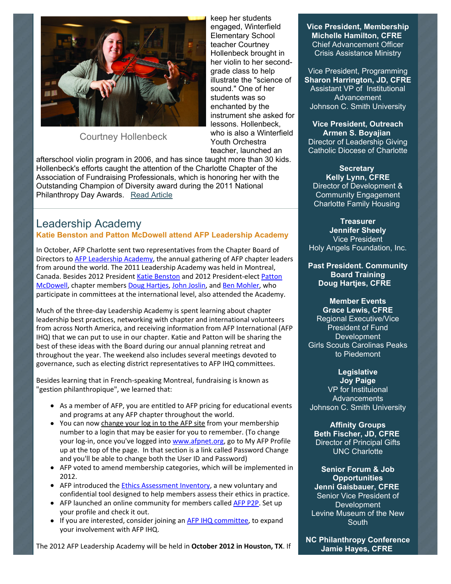

## Courtney Hollenbeck

keep her students engaged, Winterfield Elementary School teacher Courtney Hollenbeck brought in her violin to her secondgrade class to help illustrate the "science of sound." One of her students was so enchanted by the instrument she asked for lessons. Hollenbeck, who is also a Winterfield Youth Orchestra teacher, launched an

afterschool violin program in 2006, and has since taught more than 30 kids. Hollenbeck's efforts caught the attention of the Charlotte Chapter of the Association of Fundraising Professionals, which is honoring her with the Outstanding Champion of Diversity award during the 2011 National Philanthropy Day Awards. Read Article

## Leadership Academy

**Katie Benston and Patton McDowell attend AFP Leadership Academy**

In October, AFP Charlotte sent two representatives from the Chapter Board of Directors to AFP Leadership Academy, the annual gathering of AFP chapter leaders from around the world. The 2011 Leadership Academy was held in Montreal, Canada. Besides 2012 President Katie Benston and 2012 President-elect Patton McDowell, chapter members Doug Hartjes, John Joslin, and Ben Mohler, who participate in committees at the international level, also attended the Academy.

Much of the three-day Leadership Academy is spent learning about chapter leadership best practices, networking with chapter and international volunteers from across North America, and receiving information from AFP International (AFP IHQ) that we can put to use in our chapter. Katie and Patton will be sharing the best of these ideas with the Board during our annual planning retreat and throughout the year. The weekend also includes several meetings devoted to governance, such as electing district representatives to AFP IHQ committees.

Besides learning that in French-speaking Montreal, fundraising is known as "gestion philanthropique", we learned that:

- As a member of AFP, you are entitled to AFP pricing for educational events and programs at any AFP chapter throughout the world.
- You can now change your log in to the AFP site from your membership number to a login that may be easier for you to remember. (To change your log-in, once you've logged into www.afpnet.org, go to My AFP Profile up at the top of the page. In that section is a link called Password Change and you'll be able to change both the User ID and Password)
- $\bullet$  AFP voted to amend membership categories, which will be implemented in 2012.
- AFP introduced the Ethics Assessment Inventory, a new voluntary and confidential tool designed to help members assess their ethics in practice.
- AFP launched an online community for members called AFP P2P. Set up your profile and check it out.
- If you are interested, consider joining an AFP IHQ committee, to expand your involvement with AFP IHQ.

The 2012 AFP Leadership Academy will be held in October 2012 in Houston, TX. If

**Vice President, Membership Michelle Hamilton, CFRE** Chief Advancement Officer Crisis Assistance Ministry

Vice President, Programming **Sharon Harrington, JD, CFRE** Assistant VP of Institutional Advancement Johnson C. Smith University

**Vice President, Outreach Armen S. Boyajian** Director of Leadership Giving Catholic Diocese of Charlotte

**Secretary Kelly Lynn, CFRE** Director of Development & Community Engagement Charlotte Family Housing

**Treasurer Jennifer Sheely** Vice President Holy Angels Foundation, Inc.

**Past President. Community Board Training Doug Hartjes, CFRE**

**Member Events**

**Grace Lewis, CFRE** Regional Executive/Vice President of Fund **Development** Girls Scouts Carolinas Peaks to Piedemont

#### **Legislative**

**Joy Paige** VP for Instituional **Advancements** Johnson C. Smith University

**Affinity Groups Beth Fischer, JD, CFRE** Director of Principal Gifts UNC Charlotte

**Senior Forum & Job Opportunities Jenni Gaisbauer, CFRE** Senior Vice President of Development Levine Museum of the New **South** 

**NC Philanthropy Conference Jamie Hayes, CFRE**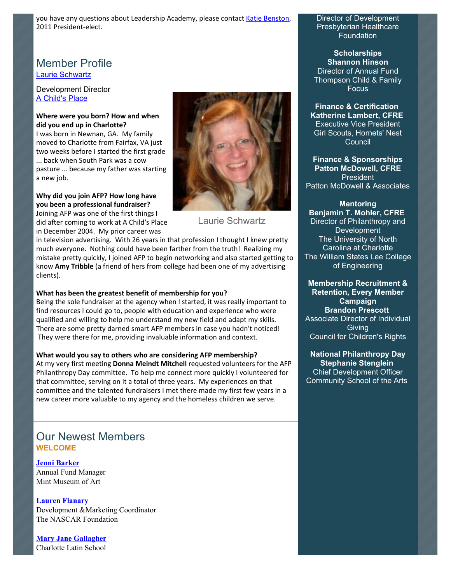you have any questions about Leadership Academy, please contact Katie Benston, 2011 President-elect.

## Member Profile [Laurie Schwartz](mailto:lschwartz@achildsplace.org)

#### Development Director [A Child's Place](http://www.achildsplace.org/)

#### Where were you born? How and when **did-you-end-up-in-Charlotte?**

I was born in Newnan, GA. My family moved to Charlotte from Fairfax, VA just two weeks before I started the first grade hack when South Park was a cow pasture ... because my father was starting a new job.

#### Why did you join AFP? How long have **you-been-a-professional-fundraiser?**

Joining AFP was one of the first things I did after coming to work at A Child's Place in December 2004. My prior career was



Laurie Schwartz

in television advertising. With 26 years in that profession I thought I knew pretty much everyone. Nothing could have been farther from the truth! Realizing my mistake pretty quickly, I joined AFP to begin networking and also started getting to know **Amy Tribble** (a friend of hers from college had been one of my advertising clients).

#### What has been the greatest benefit of membership for you?

Being the sole fundraiser at the agency when I started, it was really important to find resources I could go to, people with education and experience who were qualified and willing to help me understand my new field and adapt my skills. There are some pretty darned smart AFP members in case you hadn't noticed! They were there for me, providing invaluable information and context.

#### What would you say to others who are considering AFP membership?

At my very first meeting **Donna Meindt Mitchell** requested volunteers for the AFP Philanthropy Day committee. To help me connect more quickly I volunteered for that committee, serving on it a total of three years. My experiences on that committee and the talented fundraisers I met there made my first few years in a new career more valuable to my agency and the homeless children we serve.

## Our Newest Members **WELCOME**

**[Jenni Barker](mailto:jeabarker@gmail.com)** Annual Fund Manager Mint Museum of Art

**[Lauren Flanary](mailto:lauren.flanary@gmail.com)** Development &Marketing Coordinator The NASCAR Foundation

**[Mary Jane Gallagher](mailto:mjgallagher@charlottelatin.org)** Charlotte Latin School Director of Development Presbyterian Healthcare **Foundation** 

**Scholarships Shannon Hinson** Director of Annual Fund Thompson Child & Family **Focus** 

**Finance & Certification Katherine Lambert, CFRE** Executive Vice President Girl Scouts, Hornets' Nest Council

**Finance & Sponsorships Patton McDowell, CFRE** President Patton McDowell & Associates

#### **Mentoring**

**Benjamin T. Mohler, CFRE** Director of Philanthropy and **Development** The University of North Carolina at Charlotte The William States Lee College of Engineering

**Membership Recruitment & Retention, Every Member Campaign Brandon Prescott** Associate Director of Individual **Giving** Council for Children's Rights

**National Philanthropy Day Stephanie Stenglein** Chief Development Officer Community School of the Arts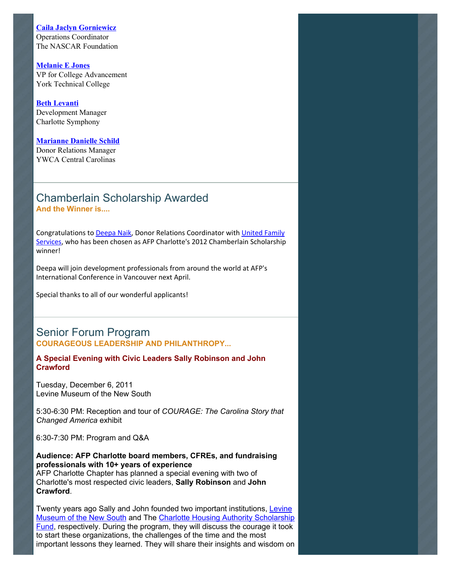#### **[Caila Jaclyn Gorniewicz](mailto:cjgorniewicz@yahoo.com)**

Operations Coordinator The NASCAR Foundation

**[Melanie E Jones](mailto:mjones@yorktech.edu)** VP for College Advancement York Technical College

#### **[Beth Levanti](mailto:bethl@charlottesymphony.org)** Development Manager Charlotte Symphony

#### **[Marianne Danielle Schild](mailto:mschild@ywcacentralcarolinas.org)**

Donor Relations Manager YWCA Central Carolinas

### Chamberlain Scholarship Awarded **And the Winner is....**

Congratulations to Deepa Naik, Donor Relations Coordinator with United Family Services, who has been chosen as AFP Charlotte's 2012 Chamberlain Scholarship winner!

Deepa will join development professionals from around the world at AFP's International Conference in Vancouver next April.

Special thanks to all of our wonderful applicants!

### Senior Forum Program **COURAGEOUS LEADERSHIP AND PHILANTHROPY...**

**A Special Evening with Civic Leaders Sally Robinson and John Crawford**

Tuesday, December 6, 2011 Levine Museum of the New South

[5:30-6:30 PM: Reception and tour of](http://www.afp-charlotte.org/2011%20Senior%20Forum%20Program:%20%20COURAGEOUS%20LEADERSHIP%20AND%20PHILANTHROPY...A%20Special%20Evening%20with%20Civic%20Leaders%20Sally%20Robinson%20and%20John%20Crawford) *COURAGE: The Carolina Story that Changed America* exhibit

6:30-7:30 PM: Program and Q&A

**Audience: AFP Charlotte board members, CFREs, and fundraising professionals with 10+ years of experience** AFP Charlotte Chapter has planned a special evening with two of Charlotte's most respected civic leaders, **Sally Robinson** and **John Crawford**.

Twenty years ago Sally and John founded two important institutions, Levine [Museum of the New South and The Charlotte Housing Authority Scholarshi](http://www.museumofthenewsouth.org/)[p](http://www.chasf.com/) Fund, respectively. During the program, they will discuss the courage it took to start these organizations, the challenges of the time and the most important lessons they learned. They will share their insights and wisdom on